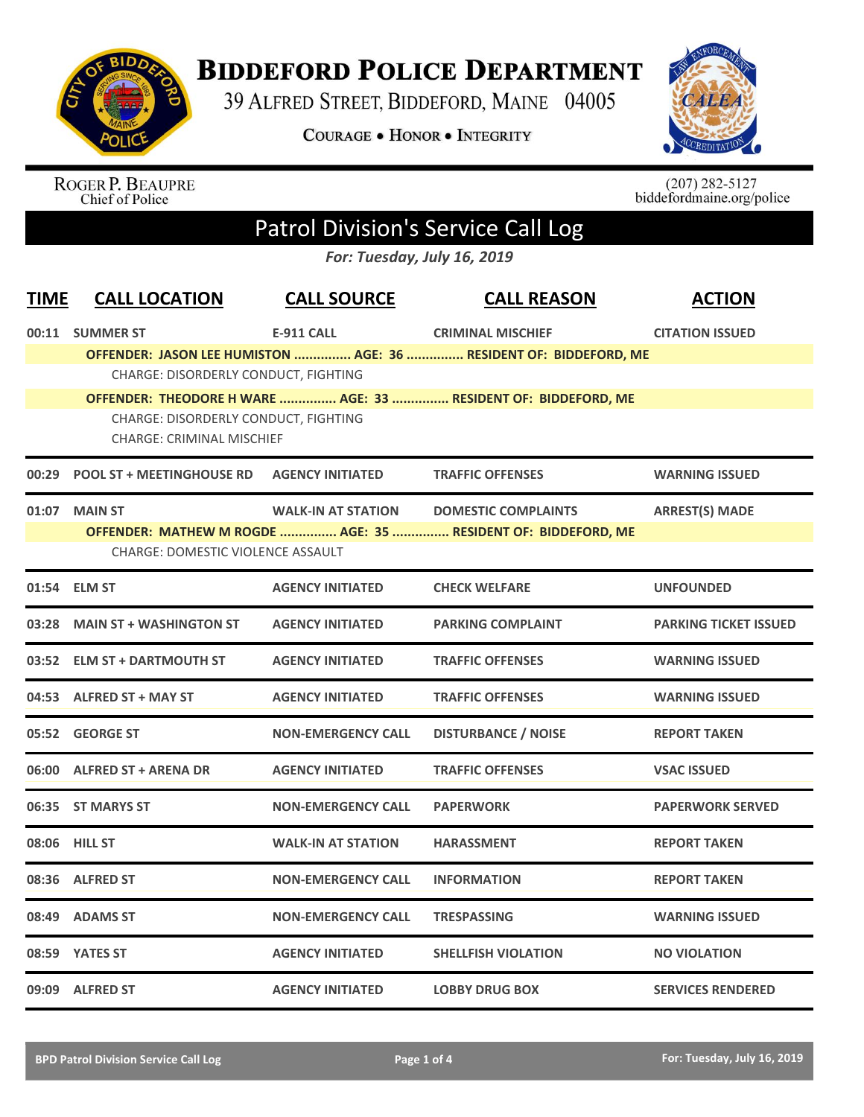

## **BIDDEFORD POLICE DEPARTMENT**

39 ALFRED STREET, BIDDEFORD, MAINE 04005

**COURAGE . HONOR . INTEGRITY** 



ROGER P. BEAUPRE<br>Chief of Police

 $(207)$  282-5127<br>biddefordmaine.org/police

## Patrol Division's Service Call Log

*For: Tuesday, July 16, 2019*

| <b>TIME</b> | <b>CALL LOCATION</b>                                                     | <b>CALL SOURCE</b>        | <b>CALL REASON</b>                                                | <b>ACTION</b>                |  |
|-------------|--------------------------------------------------------------------------|---------------------------|-------------------------------------------------------------------|------------------------------|--|
|             | 00:11 SUMMER ST                                                          | <b>E-911 CALL</b>         | <b>CRIMINAL MISCHIEF</b>                                          | <b>CITATION ISSUED</b>       |  |
|             |                                                                          |                           | OFFENDER: JASON LEE HUMISTON  AGE: 36  RESIDENT OF: BIDDEFORD, ME |                              |  |
|             | <b>CHARGE: DISORDERLY CONDUCT, FIGHTING</b>                              |                           |                                                                   |                              |  |
|             |                                                                          |                           | OFFENDER: THEODORE H WARE  AGE: 33  RESIDENT OF: BIDDEFORD, ME    |                              |  |
|             | CHARGE: DISORDERLY CONDUCT, FIGHTING<br><b>CHARGE: CRIMINAL MISCHIEF</b> |                           |                                                                   |                              |  |
|             | 00:29 POOL ST + MEETINGHOUSE RD    AGENCY INITIATED                      |                           | <b>TRAFFIC OFFENSES</b>                                           | <b>WARNING ISSUED</b>        |  |
|             | 01:07 MAIN ST                                                            | <b>WALK-IN AT STATION</b> | <b>DOMESTIC COMPLAINTS</b>                                        | <b>ARREST(S) MADE</b>        |  |
|             |                                                                          |                           | OFFENDER: MATHEW M ROGDE  AGE: 35  RESIDENT OF: BIDDEFORD, ME     |                              |  |
|             | <b>CHARGE: DOMESTIC VIOLENCE ASSAULT</b>                                 |                           |                                                                   |                              |  |
|             | 01:54 ELM ST                                                             | <b>AGENCY INITIATED</b>   | <b>CHECK WELFARE</b>                                              | <b>UNFOUNDED</b>             |  |
| 03:28       | <b>MAIN ST + WASHINGTON ST</b>                                           | <b>AGENCY INITIATED</b>   | <b>PARKING COMPLAINT</b>                                          | <b>PARKING TICKET ISSUED</b> |  |
|             | 03:52 ELM ST + DARTMOUTH ST                                              | <b>AGENCY INITIATED</b>   | <b>TRAFFIC OFFENSES</b>                                           | <b>WARNING ISSUED</b>        |  |
|             | 04:53 ALFRED ST + MAY ST                                                 | <b>AGENCY INITIATED</b>   | <b>TRAFFIC OFFENSES</b>                                           | <b>WARNING ISSUED</b>        |  |
|             | 05:52 GEORGE ST                                                          | <b>NON-EMERGENCY CALL</b> | <b>DISTURBANCE / NOISE</b>                                        | <b>REPORT TAKEN</b>          |  |
|             | 06:00 ALFRED ST + ARENA DR                                               | <b>AGENCY INITIATED</b>   | <b>TRAFFIC OFFENSES</b>                                           | <b>VSAC ISSUED</b>           |  |
|             | 06:35 ST MARYS ST                                                        | <b>NON-EMERGENCY CALL</b> | <b>PAPERWORK</b>                                                  | <b>PAPERWORK SERVED</b>      |  |
|             | 08:06 HILL ST                                                            | <b>WALK-IN AT STATION</b> | <b>HARASSMENT</b>                                                 | <b>REPORT TAKEN</b>          |  |
| 08:36       | <b>ALFRED ST</b>                                                         | <b>NON-EMERGENCY CALL</b> | <b>INFORMATION</b>                                                | <b>REPORT TAKEN</b>          |  |
|             | 08:49 ADAMS ST                                                           | <b>NON-EMERGENCY CALL</b> | <b>TRESPASSING</b>                                                | <b>WARNING ISSUED</b>        |  |
|             | 08:59 YATES ST                                                           | <b>AGENCY INITIATED</b>   | <b>SHELLFISH VIOLATION</b>                                        | <b>NO VIOLATION</b>          |  |
|             | 09:09 ALFRED ST                                                          | <b>AGENCY INITIATED</b>   | <b>LOBBY DRUG BOX</b>                                             | <b>SERVICES RENDERED</b>     |  |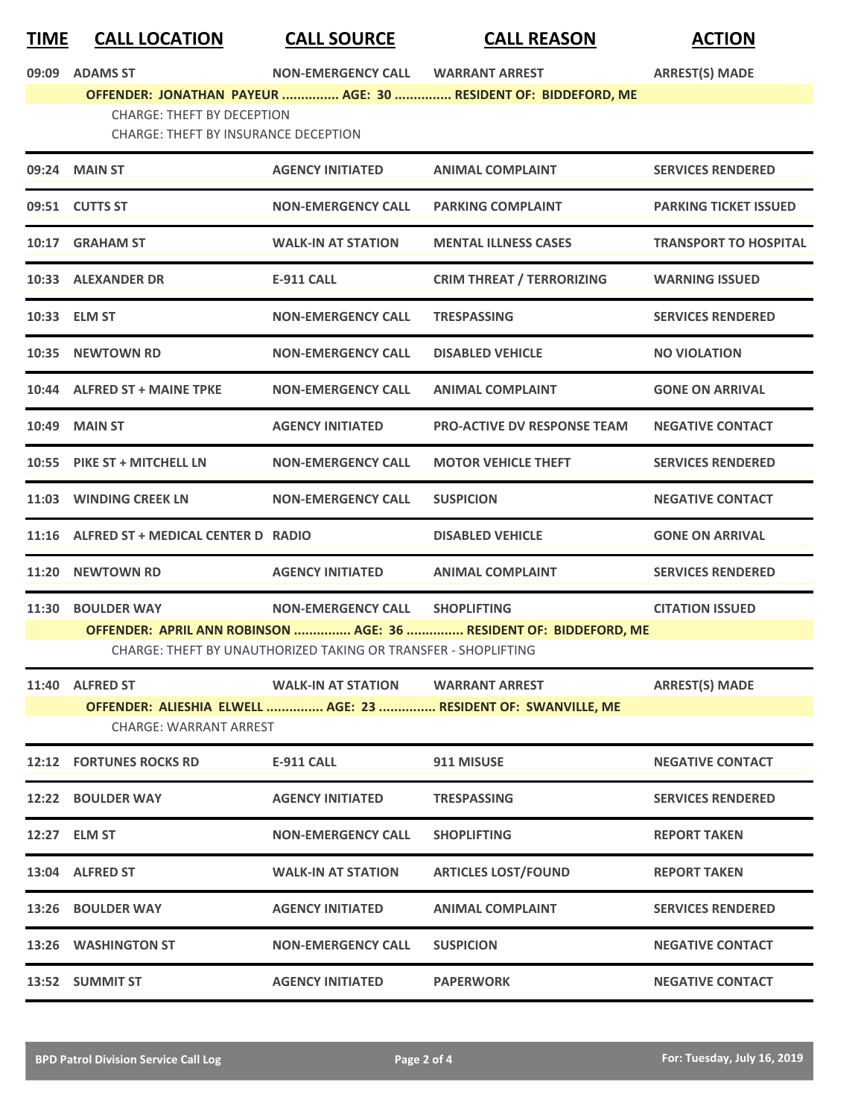## **TIME CALL LOCATION CALL SOURCE CALL REASON ACTION**

**09:09 ADAMS ST NON-EMERGENCY CALL WARRANT ARREST ARREST(S) MADE**

## **OFFENDER: JONATHAN PAYEUR ............... AGE: 30 ............... RESIDENT OF: BIDDEFORD, ME** CHARGE: THEFT BY DECEPTION CHARGE: THEFT BY INSURANCE DECEPTION

| 09:24 MAIN ST                            | <b>AGENCY INITIATED</b>                                        | <b>ANIMAL COMPLAINT</b>                                           | <b>SERVICES RENDERED</b>     |
|------------------------------------------|----------------------------------------------------------------|-------------------------------------------------------------------|------------------------------|
| 09:51 CUTTS ST                           | <b>NON-EMERGENCY CALL</b>                                      | <b>PARKING COMPLAINT</b>                                          | <b>PARKING TICKET ISSUED</b> |
| 10:17 GRAHAM ST                          | <b>WALK-IN AT STATION</b>                                      | <b>MENTAL ILLNESS CASES</b>                                       | <b>TRANSPORT TO HOSPITAL</b> |
| 10:33 ALEXANDER DR                       | <b>E-911 CALL</b>                                              | <b>CRIM THREAT / TERRORIZING</b>                                  | <b>WARNING ISSUED</b>        |
| 10:33 ELM ST                             | <b>NON-EMERGENCY CALL</b>                                      | <b>TRESPASSING</b>                                                | <b>SERVICES RENDERED</b>     |
| 10:35 NEWTOWN RD                         | <b>NON-EMERGENCY CALL</b>                                      | <b>DISABLED VEHICLE</b>                                           | <b>NO VIOLATION</b>          |
| 10:44 ALFRED ST + MAINE TPKE             | <b>NON-EMERGENCY CALL</b>                                      | <b>ANIMAL COMPLAINT</b>                                           | <b>GONE ON ARRIVAL</b>       |
| <b>10:49 MAIN ST</b>                     | <b>AGENCY INITIATED</b>                                        | <b>PRO-ACTIVE DV RESPONSE TEAM</b>                                | <b>NEGATIVE CONTACT</b>      |
| 10:55 PIKE ST + MITCHELL LN              | <b>NON-EMERGENCY CALL</b>                                      | <b>MOTOR VEHICLE THEFT</b>                                        | <b>SERVICES RENDERED</b>     |
| 11:03 WINDING CREEK LN                   | <b>NON-EMERGENCY CALL</b>                                      | <b>SUSPICION</b>                                                  | <b>NEGATIVE CONTACT</b>      |
| 11:16 ALFRED ST + MEDICAL CENTER D RADIO |                                                                | <b>DISABLED VEHICLE</b>                                           | <b>GONE ON ARRIVAL</b>       |
| 11:20 NEWTOWN RD                         | <b>AGENCY INITIATED</b>                                        | <b>ANIMAL COMPLAINT</b>                                           | <b>SERVICES RENDERED</b>     |
|                                          |                                                                |                                                                   |                              |
| 11:30 BOULDER WAY                        | <b>NON-EMERGENCY CALL</b>                                      | <b>SHOPLIFTING</b>                                                | <b>CITATION ISSUED</b>       |
|                                          | CHARGE: THEFT BY UNAUTHORIZED TAKING OR TRANSFER - SHOPLIFTING | OFFENDER: APRIL ANN ROBINSON  AGE: 36  RESIDENT OF: BIDDEFORD, ME |                              |
| 11:40 ALFRED ST                          | WALK-IN AT STATION WARRANT ARREST                              |                                                                   | <b>ARREST(S) MADE</b>        |
| <b>CHARGE: WARRANT ARREST</b>            |                                                                | OFFENDER: ALIESHIA ELWELL  AGE: 23  RESIDENT OF: SWANVILLE, ME    |                              |
| <b>12:12 FORTUNES ROCKS RD</b>           | <b>E-911 CALL</b>                                              | 911 MISUSE                                                        | <b>NEGATIVE CONTACT</b>      |
| 12:22 BOULDER WAY                        | <b>AGENCY INITIATED</b>                                        | TRESPASSING                                                       | <b>SERVICES RENDERED</b>     |
| 12:27 ELM ST                             | <b>NON-EMERGENCY CALL</b>                                      | <b>SHOPLIFTING</b>                                                | <b>REPORT TAKEN</b>          |
| 13:04 ALFRED ST                          | <b>WALK-IN AT STATION</b>                                      | <b>ARTICLES LOST/FOUND</b>                                        | <b>REPORT TAKEN</b>          |
| 13:26 BOULDER WAY                        | <b>AGENCY INITIATED</b>                                        | <b>ANIMAL COMPLAINT</b>                                           | <b>SERVICES RENDERED</b>     |
| 13:26 WASHINGTON ST                      | <b>NON-EMERGENCY CALL</b>                                      | <b>SUSPICION</b>                                                  | <b>NEGATIVE CONTACT</b>      |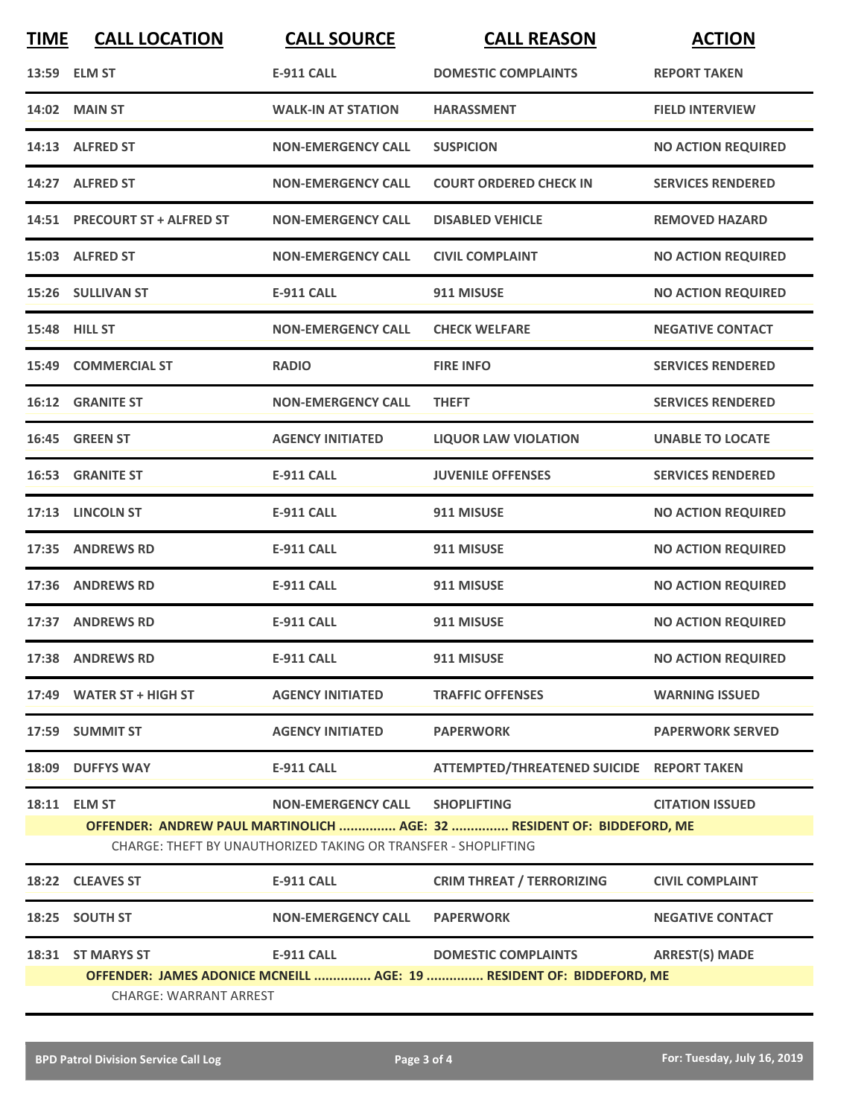| <b>TIME</b>                                                                                           | <b>CALL LOCATION</b>          | <b>CALL SOURCE</b>                                                                          | <b>CALL REASON</b>                                                                           | <b>ACTION</b>             |
|-------------------------------------------------------------------------------------------------------|-------------------------------|---------------------------------------------------------------------------------------------|----------------------------------------------------------------------------------------------|---------------------------|
|                                                                                                       | 13:59 ELM ST                  | <b>E-911 CALL</b>                                                                           | <b>DOMESTIC COMPLAINTS</b>                                                                   | <b>REPORT TAKEN</b>       |
|                                                                                                       | <b>14:02 MAIN ST</b>          | <b>WALK-IN AT STATION</b>                                                                   | <b>HARASSMENT</b>                                                                            | <b>FIELD INTERVIEW</b>    |
|                                                                                                       | 14:13 ALFRED ST               | <b>NON-EMERGENCY CALL</b>                                                                   | <b>SUSPICION</b>                                                                             | <b>NO ACTION REQUIRED</b> |
|                                                                                                       | 14:27 ALFRED ST               | <b>NON-EMERGENCY CALL</b>                                                                   | <b>COURT ORDERED CHECK IN</b>                                                                | <b>SERVICES RENDERED</b>  |
|                                                                                                       | 14:51 PRECOURT ST + ALFRED ST | <b>NON-EMERGENCY CALL</b>                                                                   | <b>DISABLED VEHICLE</b>                                                                      | <b>REMOVED HAZARD</b>     |
|                                                                                                       | 15:03 ALFRED ST               | <b>NON-EMERGENCY CALL</b>                                                                   | <b>CIVIL COMPLAINT</b>                                                                       | <b>NO ACTION REQUIRED</b> |
|                                                                                                       | 15:26 SULLIVAN ST             | <b>E-911 CALL</b>                                                                           | 911 MISUSE                                                                                   | <b>NO ACTION REQUIRED</b> |
|                                                                                                       | 15:48 HILL ST                 | <b>NON-EMERGENCY CALL</b>                                                                   | <b>CHECK WELFARE</b>                                                                         | <b>NEGATIVE CONTACT</b>   |
| 15:49                                                                                                 | <b>COMMERCIAL ST</b>          | <b>RADIO</b>                                                                                | <b>FIRE INFO</b>                                                                             | <b>SERVICES RENDERED</b>  |
|                                                                                                       | <b>16:12 GRANITE ST</b>       | <b>NON-EMERGENCY CALL</b>                                                                   | <b>THEFT</b>                                                                                 | <b>SERVICES RENDERED</b>  |
|                                                                                                       | 16:45 GREEN ST                | <b>AGENCY INITIATED</b>                                                                     | <b>LIQUOR LAW VIOLATION</b>                                                                  | <b>UNABLE TO LOCATE</b>   |
| 16:53                                                                                                 | <b>GRANITE ST</b>             | <b>E-911 CALL</b>                                                                           | <b>JUVENILE OFFENSES</b>                                                                     | <b>SERVICES RENDERED</b>  |
|                                                                                                       | 17:13 LINCOLN ST              | <b>E-911 CALL</b>                                                                           | 911 MISUSE                                                                                   | <b>NO ACTION REQUIRED</b> |
| 17:35                                                                                                 | <b>ANDREWS RD</b>             | <b>E-911 CALL</b>                                                                           | 911 MISUSE                                                                                   | <b>NO ACTION REQUIRED</b> |
| 17:36                                                                                                 | <b>ANDREWS RD</b>             | <b>E-911 CALL</b>                                                                           | 911 MISUSE                                                                                   | <b>NO ACTION REQUIRED</b> |
|                                                                                                       | 17:37 ANDREWS RD              | <b>E-911 CALL</b>                                                                           | 911 MISUSE                                                                                   | <b>NO ACTION REQUIRED</b> |
|                                                                                                       | 17:38 ANDREWS RD              | E-911 CALL                                                                                  | 911 MISUSE                                                                                   | <b>NO ACTION REQUIRED</b> |
|                                                                                                       | 17:49 WATER ST + HIGH ST      | <b>AGENCY INITIATED</b>                                                                     | <b>TRAFFIC OFFENSES</b>                                                                      | <b>WARNING ISSUED</b>     |
|                                                                                                       | 17:59 SUMMIT ST               | <b>AGENCY INITIATED</b>                                                                     | <b>PAPERWORK</b>                                                                             | <b>PAPERWORK SERVED</b>   |
|                                                                                                       | 18:09 DUFFYS WAY              | <b>E-911 CALL</b>                                                                           | ATTEMPTED/THREATENED SUICIDE REPORT TAKEN                                                    |                           |
|                                                                                                       | 18:11 ELM ST                  | <b>NON-EMERGENCY CALL</b><br>CHARGE: THEFT BY UNAUTHORIZED TAKING OR TRANSFER - SHOPLIFTING | <b>SHOPLIFTING</b><br>OFFENDER: ANDREW PAUL MARTINOLICH  AGE: 32  RESIDENT OF: BIDDEFORD, ME | <b>CITATION ISSUED</b>    |
|                                                                                                       | 18:22 CLEAVES ST              | <b>E-911 CALL</b>                                                                           | <b>CRIM THREAT / TERRORIZING</b>                                                             | <b>CIVIL COMPLAINT</b>    |
|                                                                                                       | 18:25 SOUTH ST                | <b>NON-EMERGENCY CALL</b>                                                                   | <b>PAPERWORK</b>                                                                             | <b>NEGATIVE CONTACT</b>   |
|                                                                                                       | 18:31 ST MARYS ST             | <b>E-911 CALL</b>                                                                           | <b>DOMESTIC COMPLAINTS</b>                                                                   | <b>ARREST(S) MADE</b>     |
| OFFENDER: JAMES ADONICE MCNEILL  AGE: 19  RESIDENT OF: BIDDEFORD, ME<br><b>CHARGE: WARRANT ARREST</b> |                               |                                                                                             |                                                                                              |                           |